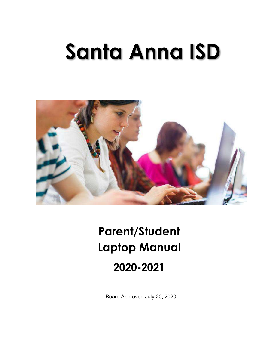# **Santa Anna ISD**



# **Parent/Student Laptop Manual 2020-2021**

Board Approved July 20, 2020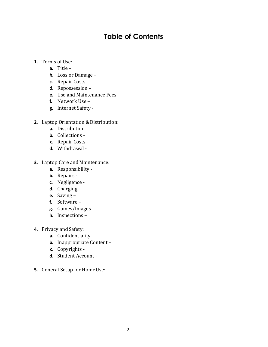# **Table of Contents**

- **1.** Terms of Use:
	- **a.** Title –
	- **b.** Loss or Damage –
	- **c.** Repair Costs -
	- **d.** Repossession –
	- **e.** Use and Maintenance Fees –
	- **f.** Network Use –
	- **g.** Internet Safety -
- **2.** Laptop Orientation & Distribution:
	- **a.** Distribution -
	- **b.** Collections -
	- **c.** Repair Costs -
	- **d.** Withdrawal -
- **3.** Laptop Care and Maintenance:
	- **a.** Responsibility -
	- **b.** Repairs -
	- **c.** Negligence -
	- **d.** Charging –
	- **e.** Saving –
	- **f.** Software –
	- **g.** Games/Images -
	- **h.** Inspections –
- **4.** Privacy and Safety:
	- **a.** Confidentiality –
	- **b.** Inappropriate Content –
	- **c.** Copyrights -
	- **d.** Student Account -
- **5.** General Setup for Home Use: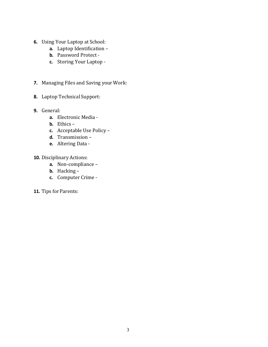- **6.** Using Your Laptop at School:
	- **a.** Laptop Identification –
	- **b.** Password Protect -
	- **c.** Storing Your Laptop -
- **7.** Managing Files and Saving your Work:
- 8. Laptop Technical Support:
- **9.** General:
	- **a.** Electronic Media -
	- **b.** Ethics –
	- **c.** Acceptable Use Policy –
	- **d.** Transmission –
	- **e.** Altering Data -
- **10.** Disciplinary Actions:
	- **a.** Non-compliance –
	- **b.** Hacking –
	- **c.** Computer Crime -
- 11. Tips for Parents: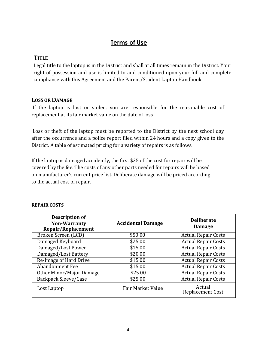# **Terms of Use**

#### **TITLE**

Legal title to the laptop is in the District and shall at all times remain in the District. Your right of possession and use is limited to and conditioned upon your full and complete compliance with this Agreement and the Parent/Student Laptop Handbook.

#### **LOSS OR DAMAGE**

If the laptop is lost or stolen, you are responsible for the reasonable cost of replacement at its fair market value on the date of loss.

Loss or theft of the laptop must be reported to the District by the next school day after the occurrence and a police report filed within 24 hours and a copy given to the District. A table of estimated pricing for a variety of repairs is as follows.

If the laptop is damaged accidently, the first \$25 of the cost for repair will be covered by the fee. The costs of any other parts needed for repairs will be based on manufacturer's current price list. Deliberate damage will be priced according to the actual cost of repair.

| <b>Description of</b><br><b>Non-Warranty</b><br>Repair/Replacement | <b>Accidental Damage</b> | <b>Deliberate</b><br><b>Damage</b> |
|--------------------------------------------------------------------|--------------------------|------------------------------------|
| Broken Screen (LCD)                                                | \$50.00                  | <b>Actual Repair Costs</b>         |
| Damaged Keyboard                                                   | \$25.00                  | <b>Actual Repair Costs</b>         |
| Damaged/Lost Power                                                 | \$15.00                  | <b>Actual Repair Costs</b>         |
| Damaged/Lost Battery                                               | \$20.00                  | <b>Actual Repair Costs</b>         |
| Re-Image of Hard Drive                                             | \$15.00                  | <b>Actual Repair Costs</b>         |
| <b>Abandonment Fee</b>                                             | \$15.00                  | <b>Actual Repair Costs</b>         |
| Other Minor/Major Damage                                           | \$25.00                  | <b>Actual Repair Costs</b>         |
| <b>Backpack Sleeve/Case</b>                                        | \$25.00                  | <b>Actual Repair Costs</b>         |
| Lost Laptop                                                        | Fair Market Value        | Actual<br>Replacement Cost         |

#### **REPAIR COSTS**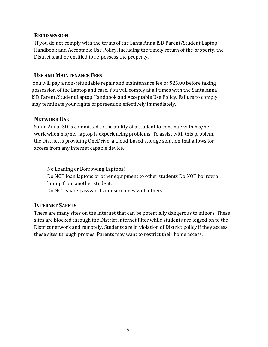#### **REPOSSESSION**

If you do not comply with the terms of the Santa Anna ISD Parent/Student Laptop Handbook and Acceptable Use Policy, including the timely return of the property, the District shall be entitled to re-possess the property.

#### **USE AND MAINTENANCE FEES**

You will pay a non-refundable repair and maintenance fee or \$25.00 before taking possession of the Laptop and case. You will comply at all times with the Santa Anna ISD Parent/Student Laptop Handbook and Acceptable Use Policy. Failure to comply may terminate your rights of possession effectively immediately.

## **NETWORK USE**

Santa Anna ISD is committed to the ability of a student to continue with his/her work when his/her laptop is experiencing problems. To assist with this problem, the District is providing OneDrive, a Cloud-based storage solution that allows for access from any internet capable device.

No Loaning or Borrowing Laptops! Do NOT loan laptops or other equipment to other students Do NOT borrow a laptop from another student. Do NOT share passwords or usernames with others.

# **INTERNET SAFETY**

There are many sites on the Internet that can be potentially dangerous to minors. These sites are blocked through the District Internet filter while students are logged on to the District network and remotely. Students are in violation of District policy if they access these sites through proxies. Parents may want to restrict their home access.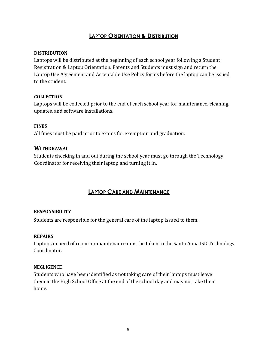## **LAPTOP ORIENTATION & DISTRIBUTION**

#### **DISTRIBUTION**

Laptops will be distributed at the beginning of each school year following a Student Registration & Laptop Orientation. Parents and Students must sign and return the Laptop Use Agreement and Acceptable Use Policy forms before the laptop can be issued to the student.

#### **COLLECTION**

Laptops will be collected prior to the end of each school year for maintenance, cleaning, updates, and software installations.

#### **FINES**

All fines must be paid prior to exams for exemption and graduation.

#### **WITHDRAWAL**

Students checking in and out during the school year must go through the Technology Coordinator for receiving their laptop and turning it in.

#### **LAPTOP CARE AND MAINTENANCE**

#### **RESPONSIBILITY**

Students are responsible for the general care of the laptop issued to them.

#### **REPAIRS**

Laptops in need of repair or maintenance must be taken to the Santa Anna ISD Technology Coordinator.

#### **NEGLIGENCE**

Students who have been identified as not taking care of their laptops must leave them in the High School Office at the end of the school day and may not take them home.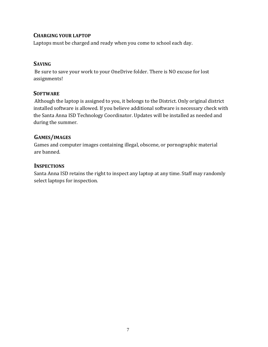#### **CHARGING YOUR LAPTOP**

Laptops must be charged and ready when you come to school each day.

#### **SAVING**

Be sure to save your work to your OneDrive folder. There is NO excuse for lost assignments!

#### **SOFTWARE**

Although the laptop is assigned to you, it belongs to the District. Only original district installed software is allowed. If you believe additional software is necessary check with the Santa Anna ISD Technology Coordinator. Updates will be installed as needed and during the summer.

#### **GAMES/IMAGES**

Games and computer images containing illegal, obscene, or pornographic material are banned.

#### **INSPECTIONS**

Santa Anna ISD retains the right to inspect any laptop at any time. Staff may randomly select laptops for inspection.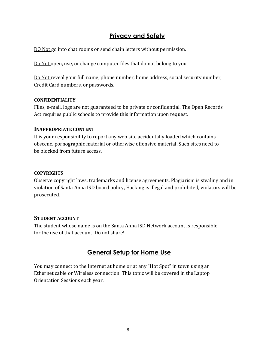# **Privacy and Safety**

DO Not go into chat rooms or send chain letters without permission.

Do Not open, use, or change computer files that do not belong to you.

Do Not reveal your full name, phone number, home address, social security number, Credit Card numbers, or passwords.

#### **CONFIDENTIALITY**

Files, e-mail, logs are not guaranteed to be private or confidential. The Open Records Act requires public schools to provide this information upon request.

#### **INAPPROPRIATE CONTENT**

It is your responsibility to report any web site accidentally loaded which contains obscene, pornographic material or otherwise offensive material. Such sites need to be blocked from future access.

#### **COPYRIGHTS**

Observe copyright laws, trademarks and license agreements. Plagiarism is stealing and in violation of Santa Anna ISD board policy, Hacking is illegal and prohibited, violators will be prosecuted.

#### **STUDENT ACCOUNT**

The student whose name is on the Santa Anna ISD Network account is responsible for the use of that account. Do not share!

# **General Setup for Home Use**

You may connect to the Internet at home or at any "Hot Spot" in town using an Ethernet cable or Wireless connection. This topic will be covered in the Laptop Orientation Sessions each year.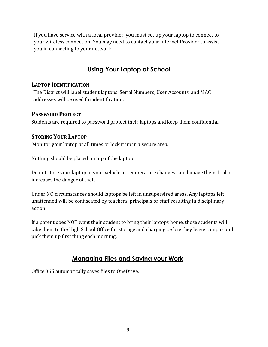If you have service with a local provider, you must set up your laptop to connect to your wireless connection. You may need to contact your Internet Provider to assist you in connecting to your network.

# **Using Your Laptop at School**

#### **LAPTOP IDENTIFICATION**

The District will label student laptops. Serial Numbers, User Accounts, and MAC addresses will be used for identification.

#### **PASSWORD PROTECT**

Students are required to password protect their laptops and keep them confidential.

#### **STORING YOUR LAPTOP**

Monitor your laptop at all times or lock it up in a secure area.

Nothing should be placed on top of the laptop.

Do not store your laptop in your vehicle as temperature changes can damage them. It also increases the danger of theft.

Under NO circumstances should laptops be left in unsupervised areas. Any laptops left unattended will be confiscated by teachers, principals or staff resulting in disciplinary action.

If a parent does NOT want their student to bring their laptops home, those students will take them to the High School Office for storage and charging before they leave campus and pick them up first thing each morning.

# **Managing Files and Saving your Work**

Office 365 automatically saves files to OneDrive.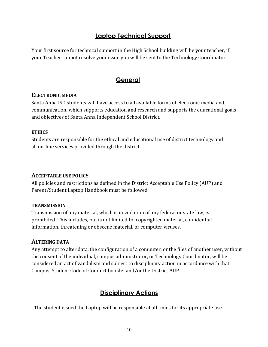# **Laptop Technical Support**

Your first source for technical support in the High School building will be your teacher, if your Teacher cannot resolve your issue you will be sent to the Technology Coordinator.

# **General**

#### **ELECTRONIC MEDIA**

Santa Anna ISD students will have access to all available forms of electronic media and communication, which supports education and research and supports the educational goals and objectives of Santa Anna Independent School District.

#### **ETHICS**

Students are responsible for the ethical and educational use of district technology and all on-line services provided through the district.

#### **ACCEPTABLE USE POLICY**

All policies and restrictions as defined in the District Acceptable Use Policy (AUP) and Parent/Student Laptop Handbook must be followed.

#### **TRANSMISSION**

Transmission of any material, which is in violation of any federal or state law, is prohibited. This includes, but is not limited to: copyrighted material, confidential information, threatening or obscene material, or computer viruses.

#### **ALTERING DATA**

Any attempt to alter data, the configuration of a computer, or the files of another user, without the consent of the individual, campus administrator, or Technology Coordinator, will be considered an act of vandalism and subject to disciplinary action in accordance with that Campus' Student Code of Conduct booklet and/or the District AUP.

# **Disciplinary Actions**

The student issued the Laptop will be responsible at all times for its appropriate use.